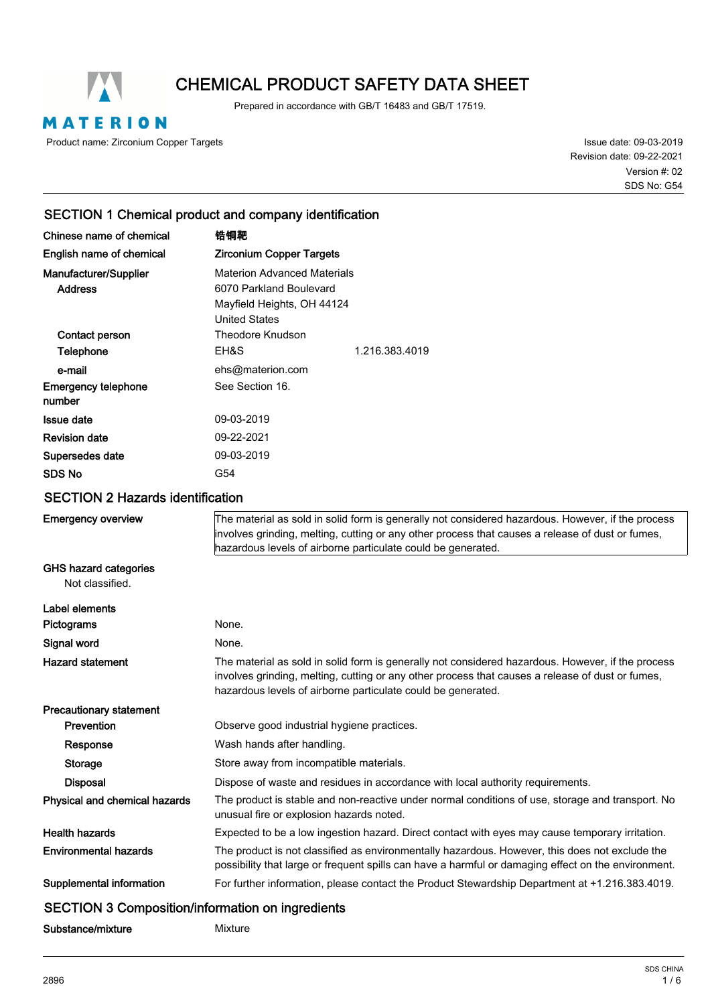

# CHEMICAL PRODUCT SAFETY DATA SHEET

Prepared in accordance with GB/T 16483 and GB/T 17519.

MATERION

Product name: Zirconium Copper Targets

Issue date: 09-03-2019 Revision date: 09-22-2021 SDS No: G54 Version #: 02

## SECTION 1 Chemical product and company identification

| Chinese name of chemical                                | 锆铜靶                                                                                                                                                                                                                                                                   |  |  |
|---------------------------------------------------------|-----------------------------------------------------------------------------------------------------------------------------------------------------------------------------------------------------------------------------------------------------------------------|--|--|
| English name of chemical                                | <b>Zirconium Copper Targets</b>                                                                                                                                                                                                                                       |  |  |
| Manufacturer/Supplier<br><b>Address</b>                 | <b>Materion Advanced Materials</b><br>6070 Parkland Boulevard<br>Mayfield Heights, OH 44124<br><b>United States</b>                                                                                                                                                   |  |  |
| Contact person                                          | <b>Theodore Knudson</b>                                                                                                                                                                                                                                               |  |  |
| Telephone                                               | EH&S<br>1.216.383.4019                                                                                                                                                                                                                                                |  |  |
| e-mail                                                  | ehs@materion.com                                                                                                                                                                                                                                                      |  |  |
| <b>Emergency telephone</b><br>number                    | See Section 16.                                                                                                                                                                                                                                                       |  |  |
| <b>Issue date</b>                                       | 09-03-2019                                                                                                                                                                                                                                                            |  |  |
| <b>Revision date</b>                                    | 09-22-2021                                                                                                                                                                                                                                                            |  |  |
| Supersedes date                                         | 09-03-2019                                                                                                                                                                                                                                                            |  |  |
| <b>SDS No</b>                                           | G54                                                                                                                                                                                                                                                                   |  |  |
| <b>SECTION 2 Hazards identification</b>                 |                                                                                                                                                                                                                                                                       |  |  |
| <b>Emergency overview</b>                               | The material as sold in solid form is generally not considered hazardous. However, if the process<br>involves grinding, melting, cutting or any other process that causes a release of dust or fumes,<br>hazardous levels of airborne particulate could be generated. |  |  |
| <b>GHS hazard categories</b><br>Not classified.         |                                                                                                                                                                                                                                                                       |  |  |
| Label elements                                          |                                                                                                                                                                                                                                                                       |  |  |
| Pictograms                                              | None.                                                                                                                                                                                                                                                                 |  |  |
| Signal word                                             | None.                                                                                                                                                                                                                                                                 |  |  |
| <b>Hazard statement</b>                                 | The material as sold in solid form is generally not considered hazardous. However, if the process<br>involves grinding, melting, cutting or any other process that causes a release of dust or fumes,<br>hazardous levels of airborne particulate could be generated. |  |  |
| <b>Precautionary statement</b>                          |                                                                                                                                                                                                                                                                       |  |  |
| Prevention                                              | Observe good industrial hygiene practices.                                                                                                                                                                                                                            |  |  |
| Response                                                | Wash hands after handling.                                                                                                                                                                                                                                            |  |  |
| <b>Storage</b>                                          | Store away from incompatible materials.                                                                                                                                                                                                                               |  |  |
| <b>Disposal</b>                                         | Dispose of waste and residues in accordance with local authority requirements.                                                                                                                                                                                        |  |  |
| Physical and chemical hazards                           | The product is stable and non-reactive under normal conditions of use, storage and transport. No<br>unusual fire or explosion hazards noted.                                                                                                                          |  |  |
| <b>Health hazards</b>                                   | Expected to be a low ingestion hazard. Direct contact with eyes may cause temporary irritation.                                                                                                                                                                       |  |  |
| <b>Environmental hazards</b>                            | The product is not classified as environmentally hazardous. However, this does not exclude the<br>possibility that large or frequent spills can have a harmful or damaging effect on the environment.                                                                 |  |  |
| Supplemental information                                | For further information, please contact the Product Stewardship Department at +1.216.383.4019.                                                                                                                                                                        |  |  |
| <b>SECTION 3 Composition/information on ingredients</b> |                                                                                                                                                                                                                                                                       |  |  |

Substance/mixture Mixture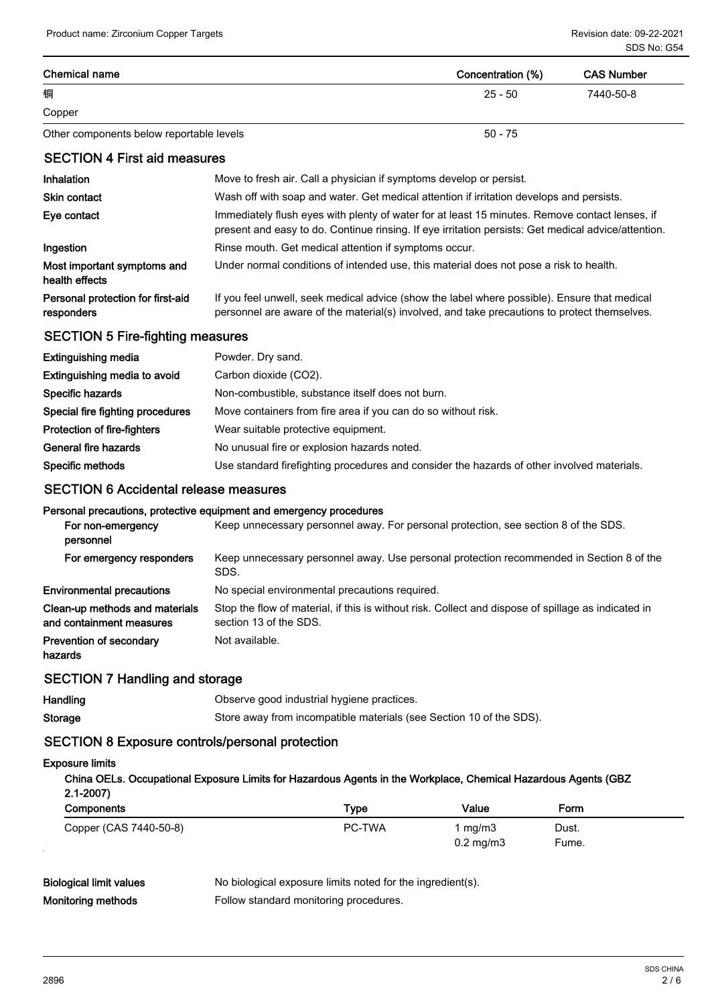| <b>Chemical name</b>                                       |                                                                                                                                                                                                       | Concentration (%)            | <b>CAS Number</b> |
|------------------------------------------------------------|-------------------------------------------------------------------------------------------------------------------------------------------------------------------------------------------------------|------------------------------|-------------------|
| 铜                                                          |                                                                                                                                                                                                       | $25 - 50$                    | 7440-50-8         |
| Copper                                                     |                                                                                                                                                                                                       |                              |                   |
| Other components below reportable levels                   |                                                                                                                                                                                                       | $50 - 75$                    |                   |
| <b>SECTION 4 First aid measures</b>                        |                                                                                                                                                                                                       |                              |                   |
| Inhalation                                                 | Move to fresh air. Call a physician if symptoms develop or persist.                                                                                                                                   |                              |                   |
| <b>Skin contact</b>                                        | Wash off with soap and water. Get medical attention if irritation develops and persists.                                                                                                              |                              |                   |
| Eye contact                                                | Immediately flush eyes with plenty of water for at least 15 minutes. Remove contact lenses, if<br>present and easy to do. Continue rinsing. If eye irritation persists: Get medical advice/attention. |                              |                   |
| Ingestion                                                  | Rinse mouth. Get medical attention if symptoms occur.                                                                                                                                                 |                              |                   |
| Most important symptoms and<br>health effects              | Under normal conditions of intended use, this material does not pose a risk to health.                                                                                                                |                              |                   |
| Personal protection for first-aid<br>responders            | If you feel unwell, seek medical advice (show the label where possible). Ensure that medical<br>personnel are aware of the material(s) involved, and take precautions to protect themselves.          |                              |                   |
| <b>SECTION 5 Fire-fighting measures</b>                    |                                                                                                                                                                                                       |                              |                   |
| <b>Extinguishing media</b>                                 | Powder. Dry sand.                                                                                                                                                                                     |                              |                   |
| Extinguishing media to avoid                               | Carbon dioxide (CO2).                                                                                                                                                                                 |                              |                   |
| Specific hazards                                           | Non-combustible, substance itself does not burn.                                                                                                                                                      |                              |                   |
| Special fire fighting procedures                           | Move containers from fire area if you can do so without risk.                                                                                                                                         |                              |                   |
| Protection of fire-fighters                                | Wear suitable protective equipment.                                                                                                                                                                   |                              |                   |
| General fire hazards                                       | No unusual fire or explosion hazards noted.                                                                                                                                                           |                              |                   |
| Specific methods                                           | Use standard firefighting procedures and consider the hazards of other involved materials.                                                                                                            |                              |                   |
| <b>SECTION 6 Accidental release measures</b>               |                                                                                                                                                                                                       |                              |                   |
| For non-emergency<br>personnel                             | Personal precautions, protective equipment and emergency procedures<br>Keep unnecessary personnel away. For personal protection, see section 8 of the SDS.                                            |                              |                   |
| For emergency responders                                   | Keep unnecessary personnel away. Use personal protection recommended in Section 8 of the<br>SDS.                                                                                                      |                              |                   |
| <b>Environmental precautions</b>                           | No special environmental precautions required.                                                                                                                                                        |                              |                   |
| Clean-up methods and materials<br>and containment measures | Stop the flow of material, if this is without risk. Collect and dispose of spillage as indicated in<br>section 13 of the SDS.                                                                         |                              |                   |
| <b>Prevention of secondary</b><br>hazards                  | Not available.                                                                                                                                                                                        |                              |                   |
| <b>SECTION 7 Handling and storage</b>                      |                                                                                                                                                                                                       |                              |                   |
| Handling                                                   | Observe good industrial hygiene practices.                                                                                                                                                            |                              |                   |
| <b>Storage</b>                                             | Store away from incompatible materials (see Section 10 of the SDS).                                                                                                                                   |                              |                   |
| <b>SECTION 8 Exposure controls/personal protection</b>     |                                                                                                                                                                                                       |                              |                   |
| <b>Exposure limits</b>                                     |                                                                                                                                                                                                       |                              |                   |
| $2.1 - 2007$                                               | China OELs. Occupational Exposure Limits for Hazardous Agents in the Workplace, Chemical Hazardous Agents (GBZ                                                                                        |                              |                   |
| Components                                                 | <b>Type</b>                                                                                                                                                                                           | Value                        | Form              |
| Copper (CAS 7440-50-8)                                     | PC-TWA                                                                                                                                                                                                | 1 mg/m $3$<br>$0.2$ mg/m $3$ | Dust.<br>Fume.    |

Biological limit values No biological exposure limits noted for the ingredient(s). Monitoring methods **Follow** standard monitoring procedures.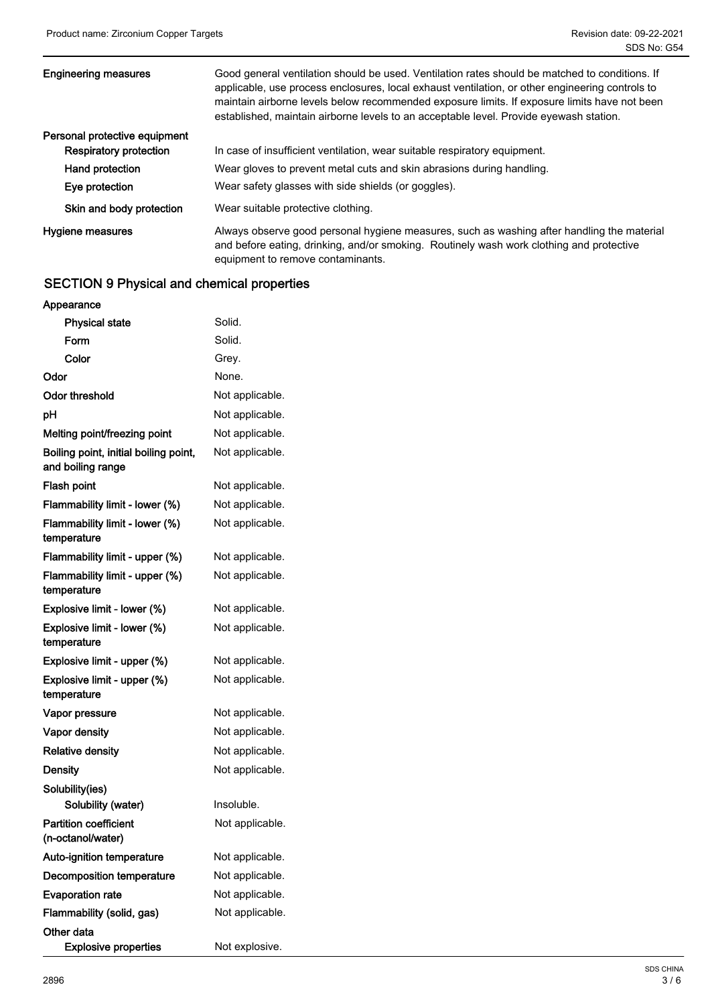| <b>Engineering measures</b>   | Good general ventilation should be used. Ventilation rates should be matched to conditions. If<br>applicable, use process enclosures, local exhaust ventilation, or other engineering controls to<br>maintain airborne levels below recommended exposure limits. If exposure limits have not been<br>established, maintain airborne levels to an acceptable level. Provide eyewash station. |
|-------------------------------|---------------------------------------------------------------------------------------------------------------------------------------------------------------------------------------------------------------------------------------------------------------------------------------------------------------------------------------------------------------------------------------------|
| Personal protective equipment |                                                                                                                                                                                                                                                                                                                                                                                             |
| <b>Respiratory protection</b> | In case of insufficient ventilation, wear suitable respiratory equipment.                                                                                                                                                                                                                                                                                                                   |
| Hand protection               | Wear gloves to prevent metal cuts and skin abrasions during handling.                                                                                                                                                                                                                                                                                                                       |
| Eye protection                | Wear safety glasses with side shields (or goggles).                                                                                                                                                                                                                                                                                                                                         |
| Skin and body protection      | Wear suitable protective clothing.                                                                                                                                                                                                                                                                                                                                                          |
| Hygiene measures              | Always observe good personal hygiene measures, such as washing after handling the material<br>and before eating, drinking, and/or smoking. Routinely wash work clothing and protective<br>equipment to remove contaminants.                                                                                                                                                                 |

## SECTION 9 Physical and chemical properties

| Appearance                                                 |                 |
|------------------------------------------------------------|-----------------|
| <b>Physical state</b>                                      | Solid.          |
| Form                                                       | Solid.          |
| Color                                                      | Grey.           |
| Odor                                                       | None.           |
| Odor threshold                                             | Not applicable. |
| рH                                                         | Not applicable. |
| Melting point/freezing point                               | Not applicable. |
| Boiling point, initial boiling point,<br>and boiling range | Not applicable. |
| Flash point                                                | Not applicable. |
| Flammability limit - lower (%)                             | Not applicable. |
| Flammability limit - lower (%)<br>temperature              | Not applicable. |
| Flammability limit - upper (%)                             | Not applicable. |
| Flammability limit - upper (%)<br>temperature              | Not applicable. |
| Explosive limit - lower (%)                                | Not applicable. |
| Explosive limit - lower (%)<br>temperature                 | Not applicable. |
| Explosive limit - upper (%)                                | Not applicable. |
| Explosive limit - upper (%)<br>temperature                 | Not applicable. |
| Vapor pressure                                             | Not applicable. |
| <b>Vapor density</b>                                       | Not applicable. |
| <b>Relative density</b>                                    | Not applicable. |
| Density                                                    | Not applicable. |
| Solubility(ies)<br>Solubility (water)                      | Insoluble.      |
| <b>Partition coefficient</b><br>(n-octanol/water)          | Not applicable. |
| Auto-ignition temperature                                  | Not applicable. |
| Decomposition temperature                                  | Not applicable. |
| <b>Evaporation rate</b>                                    | Not applicable. |
| Flammability (solid, gas)                                  | Not applicable. |
| Other data<br><b>Explosive properties</b>                  | Not explosive.  |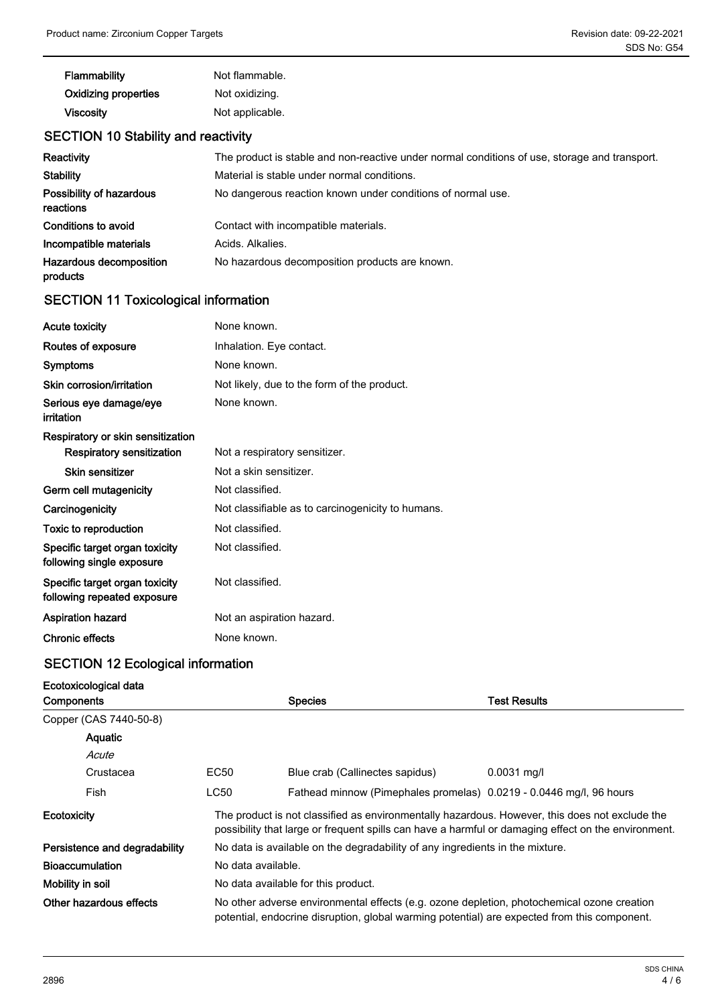| Flammability                | Not flammable.  |
|-----------------------------|-----------------|
| <b>Oxidizing properties</b> | Not oxidizing.  |
| <b>Viscosity</b>            | Not applicable. |

## SECTION 10 Stability and reactivity

| Reactivity                            | The product is stable and non-reactive under normal conditions of use, storage and transport. |
|---------------------------------------|-----------------------------------------------------------------------------------------------|
| <b>Stability</b>                      | Material is stable under normal conditions.                                                   |
| Possibility of hazardous<br>reactions | No dangerous reaction known under conditions of normal use.                                   |
| Conditions to avoid                   | Contact with incompatible materials.                                                          |
| Incompatible materials                | Acids, Alkalies.                                                                              |
| Hazardous decomposition<br>products   | No hazardous decomposition products are known.                                                |

# SECTION 11 Toxicological information

| <b>Acute toxicity</b>                                         | None known.                                       |  |
|---------------------------------------------------------------|---------------------------------------------------|--|
| Routes of exposure                                            | Inhalation. Eye contact.                          |  |
| <b>Symptoms</b>                                               | None known.                                       |  |
| Skin corrosion/irritation                                     | Not likely, due to the form of the product.       |  |
| Serious eye damage/eye<br>irritation                          | None known.                                       |  |
| Respiratory or skin sensitization                             |                                                   |  |
| Respiratory sensitization                                     | Not a respiratory sensitizer.                     |  |
| Skin sensitizer                                               | Not a skin sensitizer.                            |  |
| Germ cell mutagenicity                                        | Not classified.                                   |  |
| Carcinogenicity                                               | Not classifiable as to carcinogenicity to humans. |  |
| Toxic to reproduction                                         | Not classified.                                   |  |
| Specific target organ toxicity<br>following single exposure   | Not classified.                                   |  |
| Specific target organ toxicity<br>following repeated exposure | Not classified.                                   |  |
| <b>Aspiration hazard</b>                                      | Not an aspiration hazard.                         |  |
| <b>Chronic effects</b>                                        | None known.                                       |  |
|                                                               |                                                   |  |

## SECTION 12 Ecological information

## Ecotoxicological data

| <b>Components</b> |                                                                                                               |      | <b>Species</b>                                                                                                                                                                                        | <b>Test Results</b> |
|-------------------|---------------------------------------------------------------------------------------------------------------|------|-------------------------------------------------------------------------------------------------------------------------------------------------------------------------------------------------------|---------------------|
|                   | Copper (CAS 7440-50-8)                                                                                        |      |                                                                                                                                                                                                       |                     |
|                   | Aquatic                                                                                                       |      |                                                                                                                                                                                                       |                     |
|                   | Acute                                                                                                         |      |                                                                                                                                                                                                       |                     |
|                   | Crustacea                                                                                                     | EC50 | Blue crab (Callinectes sapidus)                                                                                                                                                                       | $0.0031$ mg/l       |
|                   | Fish                                                                                                          | LC50 | Fathead minnow (Pimephales promelas) 0.0219 - 0.0446 mg/l, 96 hours                                                                                                                                   |                     |
| Ecotoxicity       |                                                                                                               |      | The product is not classified as environmentally hazardous. However, this does not exclude the<br>possibility that large or frequent spills can have a harmful or damaging effect on the environment. |                     |
|                   | Persistence and degradability<br>No data is available on the degradability of any ingredients in the mixture. |      |                                                                                                                                                                                                       |                     |
|                   | <b>Bioaccumulation</b><br>No data available.                                                                  |      |                                                                                                                                                                                                       |                     |
|                   | Mobility in soil<br>No data available for this product.                                                       |      |                                                                                                                                                                                                       |                     |
|                   | Other hazardous effects                                                                                       |      | No other adverse environmental effects (e.g. ozone depletion, photochemical ozone creation<br>potential, endocrine disruption, global warming potential) are expected from this component.            |                     |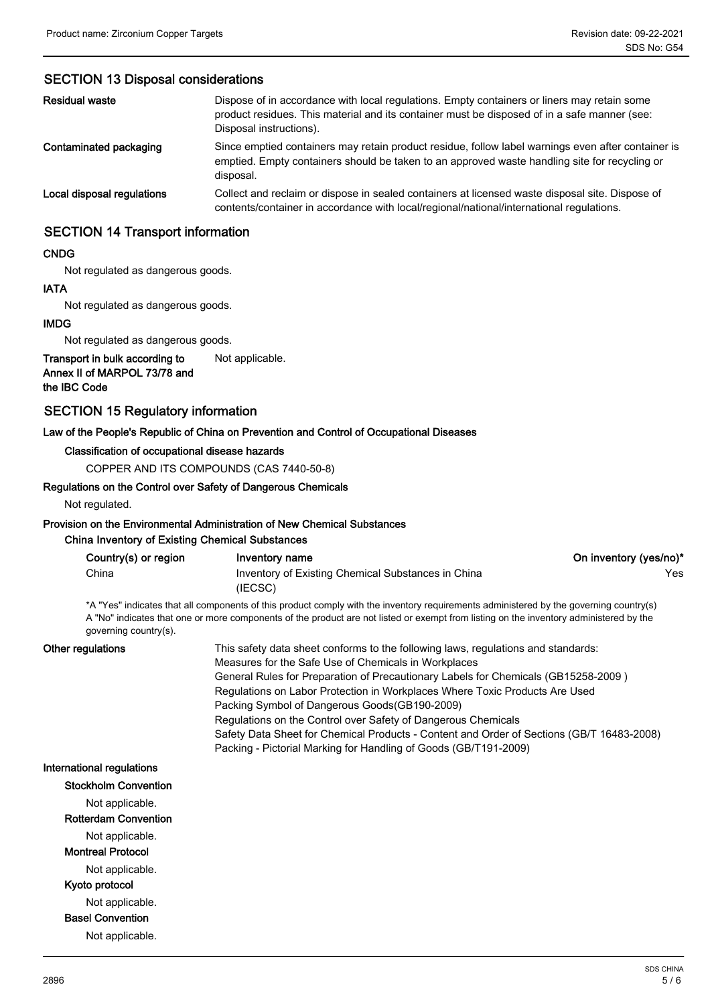### SECTION 13 Disposal considerations

| <b>Residual waste</b>      | Dispose of in accordance with local regulations. Empty containers or liners may retain some<br>product residues. This material and its container must be disposed of in a safe manner (see:<br>Disposal instructions). |
|----------------------------|------------------------------------------------------------------------------------------------------------------------------------------------------------------------------------------------------------------------|
| Contaminated packaging     | Since emptied containers may retain product residue, follow label warnings even after container is<br>emptied. Empty containers should be taken to an approved waste handling site for recycling or<br>disposal.       |
| Local disposal regulations | Collect and reclaim or dispose in sealed containers at licensed waste disposal site. Dispose of<br>contents/container in accordance with local/regional/national/international regulations.                            |

#### SECTION 14 Transport information

#### CNDG

Not regulated as dangerous goods.

## IATA Not regulated as dangerous goods.

IMDG

Not regulated as dangerous goods.

Transport in bulk according to Not applicable. Annex II of MARPOL 73/78 and

the IBC Code

### SECTION 15 Regulatory information

#### Law of the People's Republic of China on Prevention and Control of Occupational Diseases

#### Classification of occupational disease hazards

COPPER AND ITS COMPOUNDS (CAS 7440-50-8)

#### Regulations on the Control over Safety of Dangerous Chemicals

Not regulated.

## Provision on the Environmental Administration of New Chemical Substances

China Inventory of Existing Chemical Substances

| Country(s) or region | Inventory name                                     | On inventory (yes/no)* |
|----------------------|----------------------------------------------------|------------------------|
| China                | Inventory of Existing Chemical Substances in China | Yes                    |
|                      | (IECSC)                                            |                        |

\*A "Yes" indicates that all components of this product comply with the inventory requirements administered by the governing country(s) A "No" indicates that one or more components of the product are not listed or exempt from listing on the inventory administered by the governing country(s).

#### Other regulations

This safety data sheet conforms to the following laws, regulations and standards: Measures for the Safe Use of Chemicals in Workplaces General Rules for Preparation of Precautionary Labels for Chemicals (GB15258-2009 ) Regulations on Labor Protection in Workplaces Where Toxic Products Are Used Packing Symbol of Dangerous Goods(GB190-2009) Regulations on the Control over Safety of Dangerous Chemicals Safety Data Sheet for Chemical Products - Content and Order of Sections (GB/T 16483-2008) Packing - Pictorial Marking for Handling of Goods (GB/T191-2009)

#### International regulations

Stockholm Convention Not applicable. Rotterdam Convention Not applicable. Montreal Protocol Not applicable. Kyoto protocol Not applicable. Basel Convention

Not applicable.